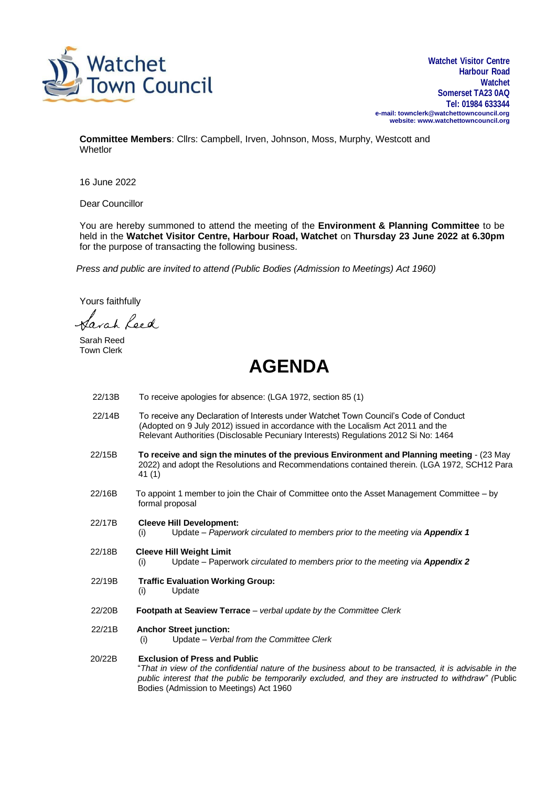

**Watchet Visitor Centre Harbour Road Watchet Somerset TA23 0AQ Tel: 01984 633344 e-mail[: townclerk@watchettowncouncil.org](mailto:townclerk@watchettowncouncil.org) website: [www.watchettowncouncil.org](http://www.watchettowncouncil.org/)**

**Committee Members**: Cllrs: Campbell, Irven, Johnson, Moss, Murphy, Westcott and **Whetlor** 

16 June 2022

Dear Councillor

You are hereby summoned to attend the meeting of the **Environment & Planning Committee** to be held in the **Watchet Visitor Centre, Harbour Road, Watchet** on **Thursday 23 June 2022 at 6.30pm** for the purpose of transacting the following business.

*Press and public are invited to attend (Public Bodies (Admission to Meetings) Act 1960)*

Yours faithfully

avah Leed

Sarah Reed Town Clerk

## **AGENDA**

- 22/13B To receive apologies for absence: (LGA 1972, section 85 (1) 22/14B To receive any Declaration of Interests under Watchet Town Council's Code of Conduct (Adopted on 9 July 2012) issued in accordance with the Localism Act 2011 and the Relevant Authorities (Disclosable Pecuniary Interests) Regulations 2012 Si No: 1464
- 22/15B **To receive and sign the minutes of the previous Environment and Planning meeting** (23 May 2022) and adopt the Resolutions and Recommendations contained therein. (LGA 1972, SCH12 Para 41 (1)
- 22/16B To appoint 1 member to join the Chair of Committee onto the Asset Management Committee by formal proposal
- 22/17B **Cleeve Hill Development:** (i) Update – *Paperwork circulated to members prior to the meeting via Appendix 1*
- 22/18B **Cleeve Hill Weight Limit** 
	- (i) Update Paperwork *circulated to members prior to the meeting via Appendix 2*
- 22/19B **Traffic Evaluation Working Group:**
	- (i) Update
- 22/20B **Footpath at Seaview Terrace** *verbal update by the Committee Clerk*
- 22/21B **Anchor Street junction:**
	- (i) Update *Verbal from the Committee Clerk*

20/22B **Exclusion of Press and Public** "*That in view of the confidential nature of the business about to be transacted, it is advisable in the public interest that the public be temporarily excluded, and they are instructed to withdraw" (*Public Bodies (Admission to Meetings) Act 1960